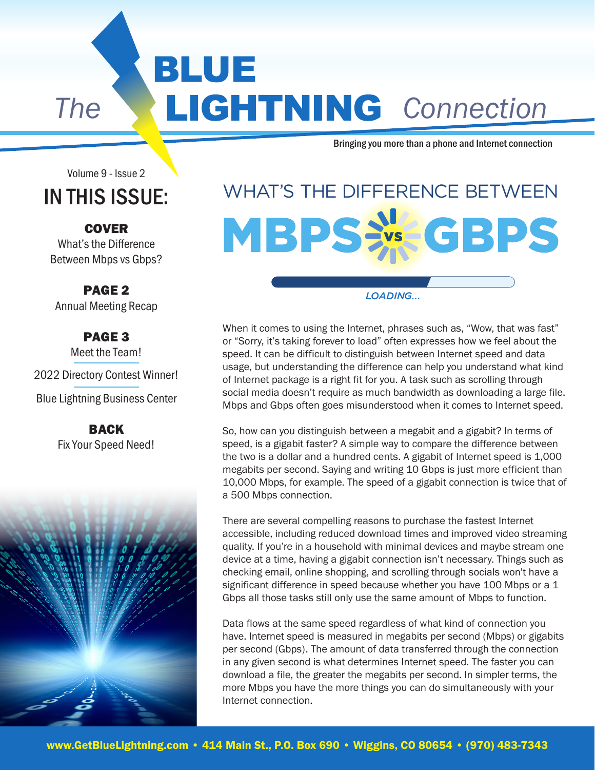BLUE **The LIGHTNING** Connection

Bringing you more than a phone and Internet connection

Volume 9 - Issue 2

#### IN THIS ISSUE:

#### **COVER** What's the Difference

Between Mbps vs Gbps?

PAGE 2 Annual Meeting Recap

PAGE 3 Meet the Team! 2022 Directory Contest Winner! Blue Lightning Business Center

> BACK Fix Your Speed Need!



### WHAT'S THE DIFFERENCE BETWEEN **MBPS:** GBPS

#### *LOADING...*

When it comes to using the Internet, phrases such as, "Wow, that was fast" or "Sorry, it's taking forever to load" often expresses how we feel about the speed. It can be difficult to distinguish between Internet speed and data usage, but understanding the difference can help you understand what kind of Internet package is a right fit for you. A task such as scrolling through social media doesn't require as much bandwidth as downloading a large file. Mbps and Gbps often goes misunderstood when it comes to Internet speed.

So, how can you distinguish between a megabit and a gigabit? In terms of speed, is a gigabit faster? A simple way to compare the difference between the two is a dollar and a hundred cents. A gigabit of Internet speed is 1,000 megabits per second. Saying and writing 10 Gbps is just more efficient than 10,000 Mbps, for example. The speed of a gigabit connection is twice that of a 500 Mbps connection.

There are several compelling reasons to purchase the fastest Internet accessible, including reduced download times and improved video streaming quality. If you're in a household with minimal devices and maybe stream one device at a time, having a gigabit connection isn't necessary. Things such as checking email, online shopping, and scrolling through socials won't have a significant difference in speed because whether you have 100 Mbps or a 1 Gbps all those tasks still only use the same amount of Mbps to function.

Data flows at the same speed regardless of what kind of connection you have. Internet speed is measured in megabits per second (Mbps) or gigabits per second (Gbps). The amount of data transferred through the connection in any given second is what determines Internet speed. The faster you can download a file, the greater the megabits per second. In simpler terms, the more Mbps you have the more things you can do simultaneously with your Internet connection.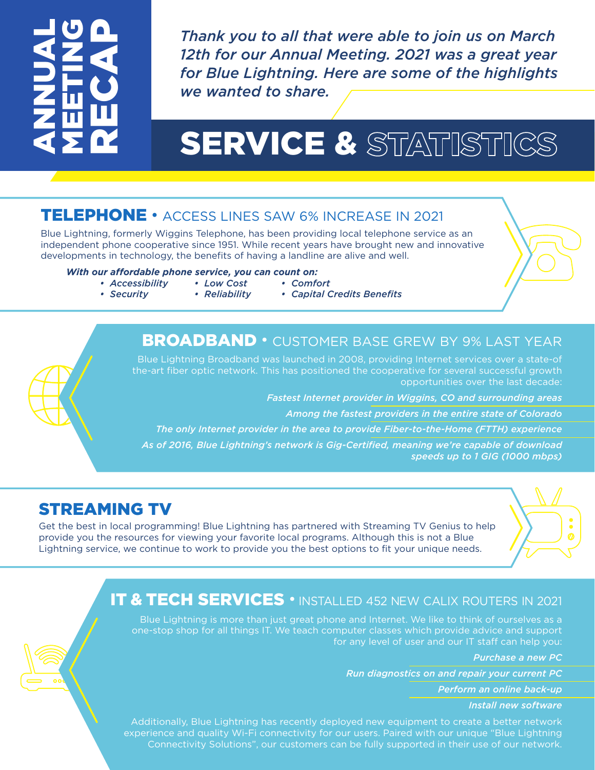## ANNUAL MEETING RECAP

*Thank you to all that were able to join us on March 12th for our Annual Meeting. 2021 was a great year for Blue Lightning. Here are some of the highlights we wanted to share.*

## SERVICE & STATISTICS

#### TELEPHONE • ACCESS LINES SAW 6% INCREASE IN 2021

Blue Lightning, formerly Wiggins Telephone, has been providing local telephone service as an independent phone cooperative since 1951. While recent years have brought new and innovative developments in technology, the benefits of having a landline are alive and well.

#### *With our affordable phone service, you can count on:*

- *Low Cost • Reliability • Accessibility*
- *Security*
	-

*• Comfort • Capital Credits Benefits*

#### BROADBAND • CUSTOMER BASE GREW BY 9% LAST YEAR

Blue Lightning Broadband was launched in 2008, providing Internet services over a state-of the-art fiber optic network. This has positioned the cooperative for several successful growth opportunities over the last decade:

*Fastest Internet provider in Wiggins, CO and surrounding areas*

 *Among the fastest providers in the entire state of Colorado*

*The only Internet provider in the area to provide Fiber-to-the-Home (FTTH) experience As of 2016, Blue Lightning's network is Gig-Certified, meaning we're capable of download*

*speeds up to 1 GIG (1000 mbps)* 

#### STREAMING TV

Get the best in local programming! Blue Lightning has partnered with Streaming TV Genius to help provide you the resources for viewing your favorite local programs. Although this is not a Blue Lightning service, we continue to work to provide you the best options to fit your unique needs.



Blue Lightning is more than just great phone and Internet. We like to think of ourselves as a one-stop shop for all things IT. We teach computer classes which provide advice and support for any level of user and our IT staff can help you:

*Purchase a new PC*

*Run diagnostics on and repair your current PC*

*Perform an online back-up*

*Install new software*

Additionally, Blue Lightning has recently deployed new equipment to create a better network experience and quality Wi-Fi connectivity for our users. Paired with our unique "Blue Lightning Connectivity Solutions", our customers can be fully supported in their use of our network.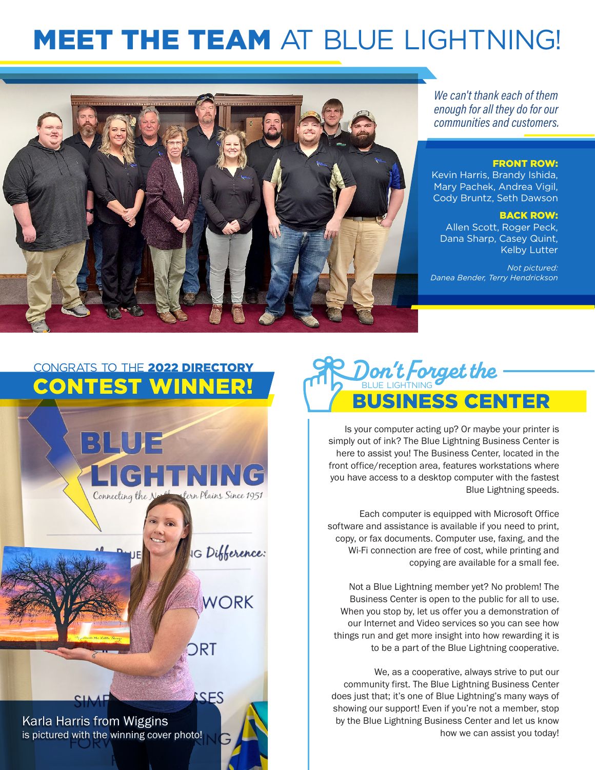## **MEET THE TEAM AT BLUE LIGHTNING!**



We can't thank each of them enough for all they do for our communities and customers.

#### FRONT ROW:

Kevin Harris, Brandy Ishida, Mary Pachek, Andrea Vigil, Cody Bruntz, Seth Dawson

#### BACK ROW:

Allen Scott, Roger Peck, Dana Sharp, Casey Quint, Kelby Lutter

*Not pictured: Danea Bender, Terry Hendrickson* 

#### CONGRATS TO THE 2022 DIRECTORY CONTEST WINNER!





Is your computer acting up? Or maybe your printer is simply out of ink? The Blue Lightning Business Center is here to assist you! The Business Center, located in the front office/reception area, features workstations where you have access to a desktop computer with the fastest Blue Lightning speeds.

Each computer is equipped with Microsoft Office software and assistance is available if you need to print, copy, or fax documents. Computer use, faxing, and the Wi-Fi connection are free of cost, while printing and copying are available for a small fee.

Not a Blue Lightning member yet? No problem! The Business Center is open to the public for all to use. When you stop by, let us offer you a demonstration of our Internet and Video services so you can see how things run and get more insight into how rewarding it is to be a part of the Blue Lightning cooperative.

We, as a cooperative, always strive to put our community first. The Blue Lightning Business Center does just that; it's one of Blue Lightning's many ways of showing our support! Even if you're not a member, stop by the Blue Lightning Business Center and let us know how we can assist you today!